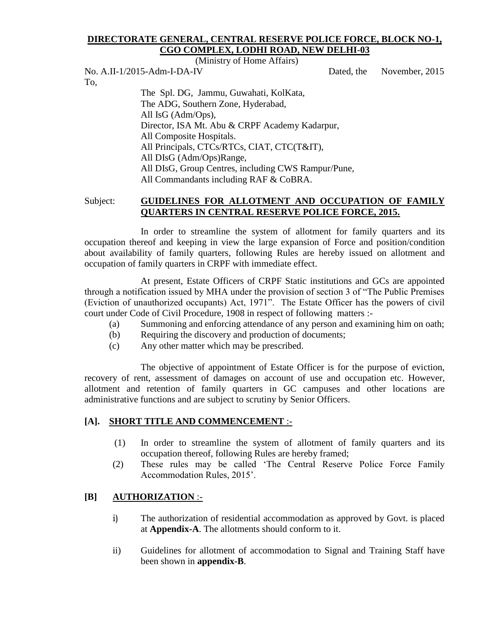#### **DIRECTORATE GENERAL, CENTRAL RESERVE POLICE FORCE, BLOCK NO-1, CGO COMPLEX, LODHI ROAD, NEW DELHI-03**

(Ministry of Home Affairs)

No. A.II-1/2015-Adm-I-DA-IV Dated, the November, 2015 To, The Spl. DG, Jammu, Guwahati, KolKata,

The ADG, Southern Zone, Hyderabad, All IsG (Adm/Ops), Director, ISA Mt. Abu & CRPF Academy Kadarpur, All Composite Hospitals. All Principals, CTCs/RTCs, CIAT, CTC(T&IT), All DIsG (Adm/Ops)Range, All DIsG, Group Centres, including CWS Rampur/Pune, All Commandants including RAF & CoBRA.

## Subject: **GUIDELINES FOR ALLOTMENT AND OCCUPATION OF FAMILY QUARTERS IN CENTRAL RESERVE POLICE FORCE, 2015.**

In order to streamline the system of allotment for family quarters and its occupation thereof and keeping in view the large expansion of Force and position/condition about availability of family quarters, following Rules are hereby issued on allotment and occupation of family quarters in CRPF with immediate effect.

At present, Estate Officers of CRPF Static institutions and GCs are appointed through a notification issued by MHA under the provision of section 3 of "The Public Premises (Eviction of unauthorized occupants) Act, 1971". The Estate Officer has the powers of civil court under Code of Civil Procedure, 1908 in respect of following matters :-

- (a) Summoning and enforcing attendance of any person and examining him on oath;
- (b) Requiring the discovery and production of documents;
- (c) Any other matter which may be prescribed.

 The objective of appointment of Estate Officer is for the purpose of eviction, recovery of rent, assessment of damages on account of use and occupation etc. However, allotment and retention of family quarters in GC campuses and other locations are administrative functions and are subject to scrutiny by Senior Officers.

## **[A]. SHORT TITLE AND COMMENCEMENT** :-

- (1) In order to streamline the system of allotment of family quarters and its occupation thereof, following Rules are hereby framed;
- (2) These rules may be called 'The Central Reserve Police Force Family Accommodation Rules, 2015'.

## **[B] AUTHORIZATION** :-

- i) The authorization of residential accommodation as approved by Govt. is placed at **Appendix-A**. The allotments should conform to it.
- ii) Guidelines for allotment of accommodation to Signal and Training Staff have been shown in **appendix-B**.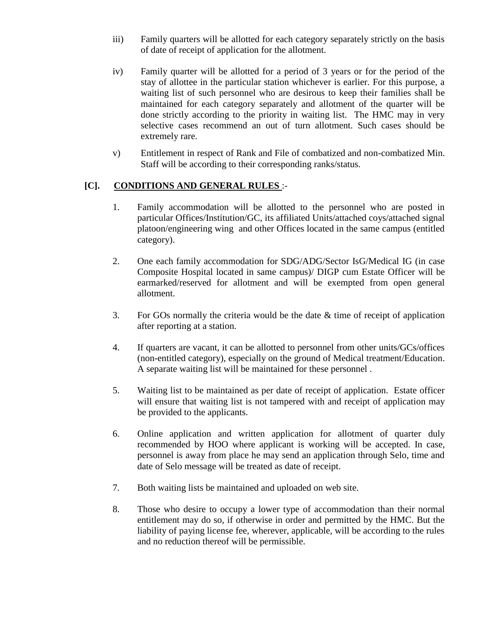- iii) Family quarters will be allotted for each category separately strictly on the basis of date of receipt of application for the allotment.
- iv) Family quarter will be allotted for a period of 3 years or for the period of the stay of allottee in the particular station whichever is earlier. For this purpose, a waiting list of such personnel who are desirous to keep their families shall be maintained for each category separately and allotment of the quarter will be done strictly according to the priority in waiting list. The HMC may in very selective cases recommend an out of turn allotment. Such cases should be extremely rare.
- v) Entitlement in respect of Rank and File of combatized and non-combatized Min. Staff will be according to their corresponding ranks/status.

# **[C]. CONDITIONS AND GENERAL RULES** :-

- 1. Family accommodation will be allotted to the personnel who are posted in particular Offices/Institution/GC, its affiliated Units/attached coys/attached signal platoon/engineering wing and other Offices located in the same campus (entitled category).
- 2. One each family accommodation for SDG/ADG/Sector IsG/Medical IG (in case Composite Hospital located in same campus)/ DIGP cum Estate Officer will be earmarked/reserved for allotment and will be exempted from open general allotment.
- 3. For GOs normally the criteria would be the date & time of receipt of application after reporting at a station.
- 4. If quarters are vacant, it can be allotted to personnel from other units/GCs/offices (non-entitled category), especially on the ground of Medical treatment/Education. A separate waiting list will be maintained for these personnel .
- 5. Waiting list to be maintained as per date of receipt of application. Estate officer will ensure that waiting list is not tampered with and receipt of application may be provided to the applicants.
- 6. Online application and written application for allotment of quarter duly recommended by HOO where applicant is working will be accepted. In case, personnel is away from place he may send an application through Selo, time and date of Selo message will be treated as date of receipt.
- 7. Both waiting lists be maintained and uploaded on web site.
- 8. Those who desire to occupy a lower type of accommodation than their normal entitlement may do so, if otherwise in order and permitted by the HMC. But the liability of paying license fee, wherever, applicable, will be according to the rules and no reduction thereof will be permissible.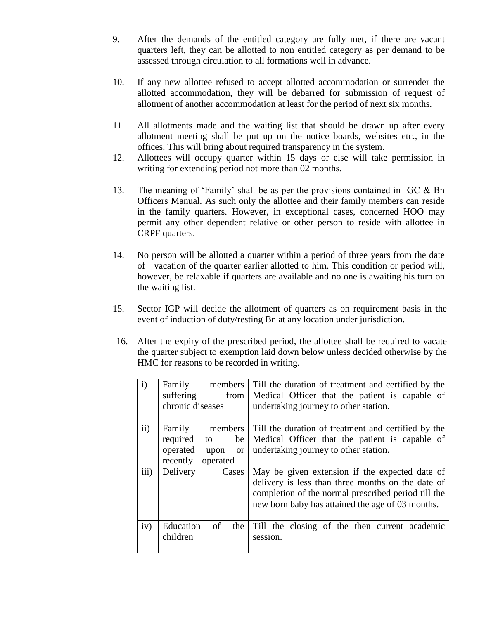- 9. After the demands of the entitled category are fully met, if there are vacant quarters left, they can be allotted to non entitled category as per demand to be assessed through circulation to all formations well in advance.
- 10. If any new allottee refused to accept allotted accommodation or surrender the allotted accommodation, they will be debarred for submission of request of allotment of another accommodation at least for the period of next six months.
- 11. All allotments made and the waiting list that should be drawn up after every allotment meeting shall be put up on the notice boards, websites etc., in the offices. This will bring about required transparency in the system.
- 12. Allottees will occupy quarter within 15 days or else will take permission in writing for extending period not more than 02 months.
- 13. The meaning of 'Family' shall be as per the provisions contained in GC & Bn Officers Manual. As such only the allottee and their family members can reside in the family quarters. However, in exceptional cases, concerned HOO may permit any other dependent relative or other person to reside with allottee in CRPF quarters.
- 14. No person will be allotted a quarter within a period of three years from the date of vacation of the quarter earlier allotted to him. This condition or period will, however, be relaxable if quarters are available and no one is awaiting his turn on the waiting list.
- 15. Sector IGP will decide the allotment of quarters as on requirement basis in the event of induction of duty/resting Bn at any location under jurisdiction.
- 16. After the expiry of the prescribed period, the allottee shall be required to vacate the quarter subject to exemption laid down below unless decided otherwise by the HMC for reasons to be recorded in writing.

| $\mathbf{i}$ | Family<br>members    |     | Till the duration of treatment and certified by the |
|--------------|----------------------|-----|-----------------------------------------------------|
|              | suffering<br>from    |     | Medical Officer that the patient is capable of      |
|              | chronic diseases     |     | undertaking journey to other station.               |
|              |                      |     |                                                     |
| ii)          | Family<br>members    |     | Till the duration of treatment and certified by the |
|              | required<br>to       | be  | Medical Officer that the patient is capable of      |
|              | operated<br>upon     | or  | undertaking journey to other station.               |
|              | recently<br>operated |     |                                                     |
| iii)         | Delivery<br>Cases    |     | May be given extension if the expected date of      |
|              |                      |     | delivery is less than three months on the date of   |
|              |                      |     | completion of the normal prescribed period till the |
|              |                      |     | new born baby has attained the age of 03 months.    |
|              |                      |     |                                                     |
| iv)          | Education<br>of      | the | Till the closing of the then current academic       |
|              | children             |     | session.                                            |
|              |                      |     |                                                     |
|              |                      |     |                                                     |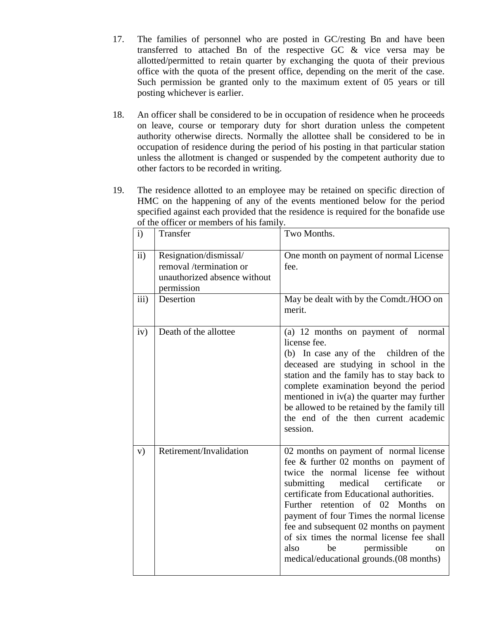- 17. The families of personnel who are posted in GC/resting Bn and have been transferred to attached Bn of the respective GC & vice versa may be allotted/permitted to retain quarter by exchanging the quota of their previous office with the quota of the present office, depending on the merit of the case. Such permission be granted only to the maximum extent of 05 years or till posting whichever is earlier.
- 18. An officer shall be considered to be in occupation of residence when he proceeds on leave, course or temporary duty for short duration unless the competent authority otherwise directs. Normally the allottee shall be considered to be in occupation of residence during the period of his posting in that particular station unless the allotment is changed or suspended by the competent authority due to other factors to be recorded in writing.
- 19. The residence allotted to an employee may be retained on specific direction of HMC on the happening of any of the events mentioned below for the period specified against each provided that the residence is required for the bonafide use of the officer or members of his family.

| $\mathbf{i}$ | Transfer                                                                                        | Two Months.                                                                                                                                                                                                                                                                                                                                                                                                                                                                        |
|--------------|-------------------------------------------------------------------------------------------------|------------------------------------------------------------------------------------------------------------------------------------------------------------------------------------------------------------------------------------------------------------------------------------------------------------------------------------------------------------------------------------------------------------------------------------------------------------------------------------|
| ii)          | Resignation/dismissal/<br>removal /termination or<br>unauthorized absence without<br>permission | One month on payment of normal License<br>fee.                                                                                                                                                                                                                                                                                                                                                                                                                                     |
| iii)         | Desertion                                                                                       | May be dealt with by the Comdt./HOO on<br>merit.                                                                                                                                                                                                                                                                                                                                                                                                                                   |
| iv)          | Death of the allottee                                                                           | (a) 12 months on payment of<br>normal<br>license fee.<br>(b) In case any of the children of the<br>deceased are studying in school in the<br>station and the family has to stay back to<br>complete examination beyond the period<br>mentioned in $iv(a)$ the quarter may further<br>be allowed to be retained by the family till<br>the end of the then current academic<br>session.                                                                                              |
| V)           | Retirement/Invalidation                                                                         | 02 months on payment of normal license<br>fee & further 02 months on payment of<br>twice the normal license fee without<br>submitting<br>medical<br>certificate<br>$\alpha$<br>certificate from Educational authorities.<br>Further retention of 02 Months<br>on<br>payment of four Times the normal license<br>fee and subsequent 02 months on payment<br>of six times the normal license fee shall<br>also<br>permissible<br>be<br>on<br>medical/educational grounds.(08 months) |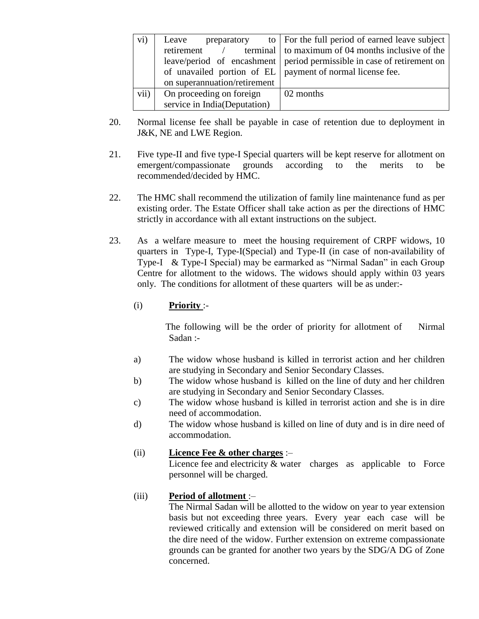| $\rm vi)$ | Leave                        | preparatory to   For the full period of earned leave subject           |
|-----------|------------------------------|------------------------------------------------------------------------|
|           | retirement /                 | terminal to maximum of 04 months inclusive of the                      |
|           |                              | leave/period of encashment period permissible in case of retirement on |
|           |                              | of unavailed portion of EL   payment of normal license fee.            |
|           | on superannuation/retirement |                                                                        |
| vii)      | On proceeding on foreign     | 02 months                                                              |
|           | service in India(Deputation) |                                                                        |

- 20. Normal license fee shall be payable in case of retention due to deployment in J&K, NE and LWE Region.
- 21. Five type-II and five type-I Special quarters will be kept reserve for allotment on emergent/compassionate grounds according to the merits to be recommended/decided by HMC.
- 22. The HMC shall recommend the utilization of family line maintenance fund as per existing order. The Estate Officer shall take action as per the directions of HMC strictly in accordance with all extant instructions on the subject.
- 23. As a welfare measure to meet the housing requirement of CRPF widows, 10 quarters in Type-I, Type-I(Special) and Type-II (in case of non-availability of Type-I & Type-I Special) may be earmarked as "Nirmal Sadan" in each Group Centre for allotment to the widows. The widows should apply within 03 years only. The conditions for allotment of these quarters will be as under:-

#### (i) **Priority** :-

The following will be the order of priority for allotment of Nirmal Sadan :-

- a) The widow whose husband is killed in terrorist action and her children are studying in Secondary and Senior Secondary Classes.
- b) The widow whose husband is killed on the line of duty and her children are studying in Secondary and Senior Secondary Classes.
- c) The widow whose husband is killed in terrorist action and she is in dire need of accommodation.
- d) The widow whose husband is killed on line of duty and is in dire need of accommodation.

#### (ii) **Licence Fee & other charges** :–

Licence fee and electricity & water charges as applicable to Force personnel will be charged.

## (iii) **Period of allotment** :–

The Nirmal Sadan will be allotted to the widow on year to year extension basis but not exceeding three years. Every year each case will be reviewed critically and extension will be considered on merit based on the dire need of the widow. Further extension on extreme compassionate grounds can be granted for another two years by the SDG/A DG of Zone concerned.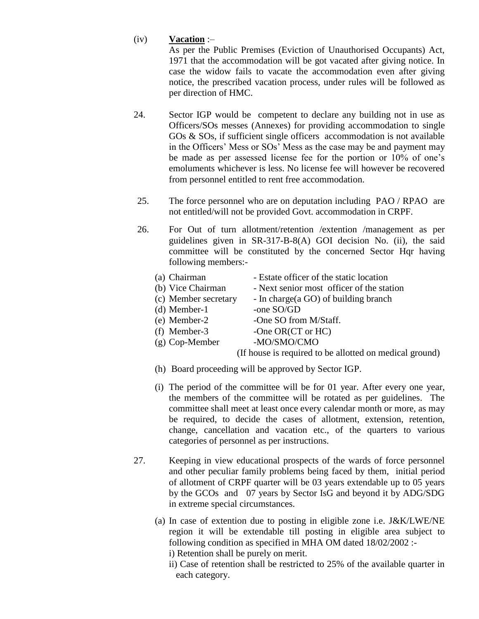#### (iv) **Vacation** :–

As per the Public Premises (Eviction of Unauthorised Occupants) Act, 1971 that the accommodation will be got vacated after giving notice. In case the widow fails to vacate the accommodation even after giving notice, the prescribed vacation process, under rules will be followed as per direction of HMC.

- 24. Sector IGP would be competent to declare any building not in use as Officers/SOs messes (Annexes) for providing accommodation to single GOs & SOs, if sufficient single officers accommodation is not available in the Officers' Mess or SOs' Mess as the case may be and payment may be made as per assessed license fee for the portion or 10% of one's emoluments whichever is less. No license fee will however be recovered from personnel entitled to rent free accommodation.
- 25. The force personnel who are on deputation including PAO / RPAO are not entitled/will not be provided Govt. accommodation in CRPF.
- 26. For Out of turn allotment/retention /extention /management as per guidelines given in SR-317-B-8(A) GOI decision No. (ii), the said committee will be constituted by the concerned Sector Hqr having following members:-
	- (a) Chairman Estate officer of the static location
	- (b) Vice Chairman Next senior most officer of the station
	- (c) Member secretary In charge(a GO) of building branch
	- (d) Member-1  $\sim$  -one SO/GD
	- (e) Member-2 -One SO from M/Staff.
	- (f) Member-3 -One OR(CT or HC)
	-
	- (g) Cop-Member -MO/SMO/CMO

(If house is required to be allotted on medical ground)

- (h) Board proceeding will be approved by Sector IGP.
- (i) The period of the committee will be for 01 year. After every one year, the members of the committee will be rotated as per guidelines. The committee shall meet at least once every calendar month or more, as may be required, to decide the cases of allotment, extension, retention, change, cancellation and vacation etc., of the quarters to various categories of personnel as per instructions.
- 27. Keeping in view educational prospects of the wards of force personnel and other peculiar family problems being faced by them, initial period of allotment of CRPF quarter will be 03 years extendable up to 05 years by the GCOs and 07 years by Sector IsG and beyond it by ADG/SDG in extreme special circumstances.
	- (a) In case of extention due to posting in eligible zone i.e. J&K/LWE/NE region it will be extendable till posting in eligible area subject to following condition as specified in MHA OM dated 18/02/2002 :
		- i) Retention shall be purely on merit.
		- ii) Case of retention shall be restricted to 25% of the available quarter in each category.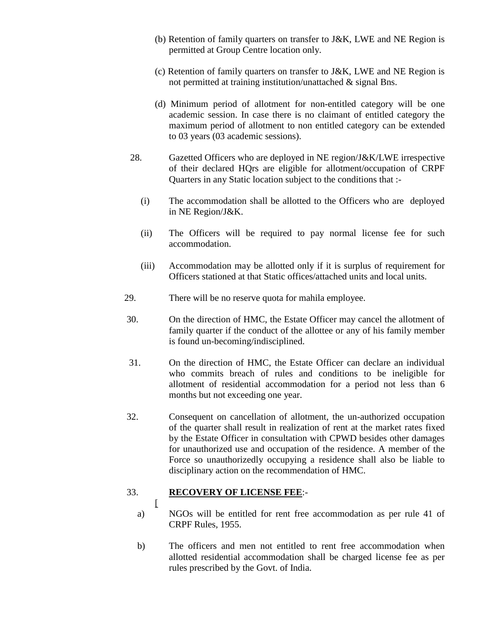- (b) Retention of family quarters on transfer to J&K, LWE and NE Region is permitted at Group Centre location only.
- (c) Retention of family quarters on transfer to J&K, LWE and NE Region is not permitted at training institution/unattached & signal Bns.
- (d) Minimum period of allotment for non-entitled category will be one academic session. In case there is no claimant of entitled category the maximum period of allotment to non entitled category can be extended to 03 years (03 academic sessions).
- 28. Gazetted Officers who are deployed in NE region/J&K/LWE irrespective of their declared HQrs are eligible for allotment/occupation of CRPF Quarters in any Static location subject to the conditions that :-
	- (i) The accommodation shall be allotted to the Officers who are deployed in NE Region/J&K.
	- (ii) The Officers will be required to pay normal license fee for such accommodation.
	- (iii) Accommodation may be allotted only if it is surplus of requirement for Officers stationed at that Static offices/attached units and local units.
- 29. There will be no reserve quota for mahila employee.
- 30. On the direction of HMC, the Estate Officer may cancel the allotment of family quarter if the conduct of the allottee or any of his family member is found un-becoming/indisciplined.
- 31. On the direction of HMC, the Estate Officer can declare an individual who commits breach of rules and conditions to be ineligible for allotment of residential accommodation for a period not less than 6 months but not exceeding one year.
- 32. Consequent on cancellation of allotment, the un-authorized occupation of the quarter shall result in realization of rent at the market rates fixed by the Estate Officer in consultation with CPWD besides other damages for unauthorized use and occupation of the residence. A member of the Force so unauthorizedly occupying a residence shall also be liable to disciplinary action on the recommendation of HMC.

#### 33. **RECOVERY OF LICENSE FEE**:-

 $\lceil$ 

- a) NGOs will be entitled for rent free accommodation as per rule 41 of CRPF Rules, 1955.
- b) The officers and men not entitled to rent free accommodation when allotted residential accommodation shall be charged license fee as per rules prescribed by the Govt. of India.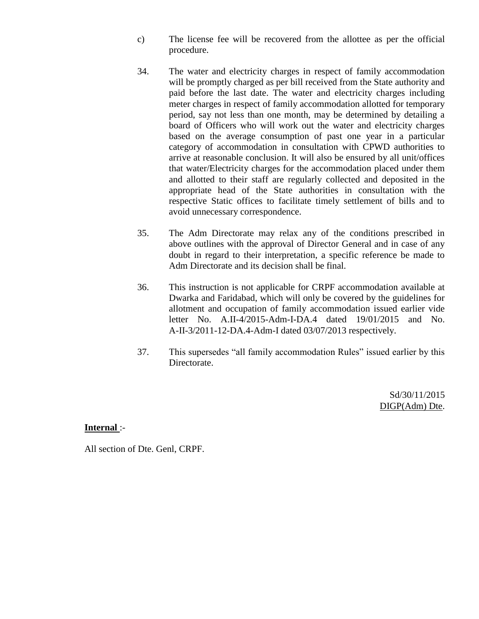- c) The license fee will be recovered from the allottee as per the official procedure.
- 34. The water and electricity charges in respect of family accommodation will be promptly charged as per bill received from the State authority and paid before the last date. The water and electricity charges including meter charges in respect of family accommodation allotted for temporary period, say not less than one month, may be determined by detailing a board of Officers who will work out the water and electricity charges based on the average consumption of past one year in a particular category of accommodation in consultation with CPWD authorities to arrive at reasonable conclusion. It will also be ensured by all unit/offices that water/Electricity charges for the accommodation placed under them and allotted to their staff are regularly collected and deposited in the appropriate head of the State authorities in consultation with the respective Static offices to facilitate timely settlement of bills and to avoid unnecessary correspondence.
- 35. The Adm Directorate may relax any of the conditions prescribed in above outlines with the approval of Director General and in case of any doubt in regard to their interpretation, a specific reference be made to Adm Directorate and its decision shall be final.
- 36. This instruction is not applicable for CRPF accommodation available at Dwarka and Faridabad, which will only be covered by the guidelines for allotment and occupation of family accommodation issued earlier vide letter No. A.II-4/2015-Adm-I-DA.4 dated 19/01/2015 and No. A-II-3/2011-12-DA.4-Adm-I dated 03/07/2013 respectively.
- 37. This supersedes "all family accommodation Rules" issued earlier by this Directorate.

Sd/30/11/2015 DIGP(Adm) Dte.

#### **Internal** :-

All section of Dte. Genl, CRPF.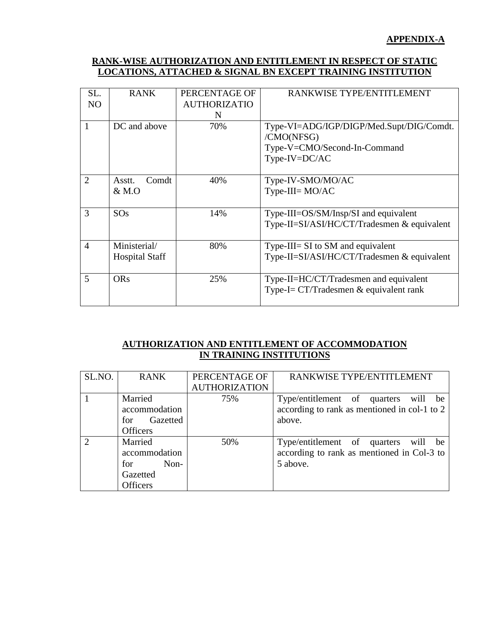## **RANK-WISE AUTHORIZATION AND ENTITLEMENT IN RESPECT OF STATIC LOCATIONS, ATTACHED & SIGNAL BN EXCEPT TRAINING INSTITUTION**

| SL.            | <b>RANK</b>           | PERCENTAGE OF       | RANKWISE TYPE/ENTITLEMENT                   |
|----------------|-----------------------|---------------------|---------------------------------------------|
| N <sub>O</sub> |                       | <b>AUTHORIZATIO</b> |                                             |
|                |                       | N                   |                                             |
| 1              | DC and above          | 70%                 | Type-VI=ADG/IGP/DIGP/Med.Supt/DIG/Comdt.    |
|                |                       |                     | /CMO(NFSG)                                  |
|                |                       |                     | Type-V=CMO/Second-In-Command                |
|                |                       |                     | Type-IV=DC/AC                               |
|                |                       |                     |                                             |
| $\overline{2}$ | Comdt<br>Asstt.       | 40%                 | Type-IV-SMO/MO/AC                           |
|                | $&$ M.O               |                     | $Type-III = MO/AC$                          |
|                |                       |                     |                                             |
| 3              | SOS                   | 14%                 | Type-III=OS/SM/Insp/SI and equivalent       |
|                |                       |                     | Type-II=SI/ASI/HC/CT/Tradesmen & equivalent |
|                |                       |                     |                                             |
| $\overline{4}$ | Ministerial/          | 80%                 | Type-III= SI to SM and equivalent           |
|                | <b>Hospital Staff</b> |                     | Type-II=SI/ASI/HC/CT/Tradesmen & equivalent |
|                |                       |                     |                                             |
| 5              | <b>ORs</b>            | 25%                 | Type-II=HC/CT/Tradesmen and equivalent      |
|                |                       |                     | Type-I= $CT/T$ radesmen & equivalent rank   |
|                |                       |                     |                                             |

# **AUTHORIZATION AND ENTITLEMENT OF ACCOMMODATION IN TRAINING INSTITUTIONS**

| SL.NO. | <b>RANK</b>     | PERCENTAGE OF        | RANKWISE TYPE/ENTITLEMENT                    |
|--------|-----------------|----------------------|----------------------------------------------|
|        |                 | <b>AUTHORIZATION</b> |                                              |
|        | Married         | 75%                  | Type/entitlement of quarters will be         |
|        | accommodation   |                      | according to rank as mentioned in col-1 to 2 |
|        | Gazetted<br>for |                      | above.                                       |
|        | <b>Officers</b> |                      |                                              |
|        | Married         | 50%                  | Type/entitlement of quarters will be         |
|        | accommodation   |                      | according to rank as mentioned in Col-3 to   |
|        | Non-<br>for     |                      | 5 above.                                     |
|        | Gazetted        |                      |                                              |
|        | Officers        |                      |                                              |